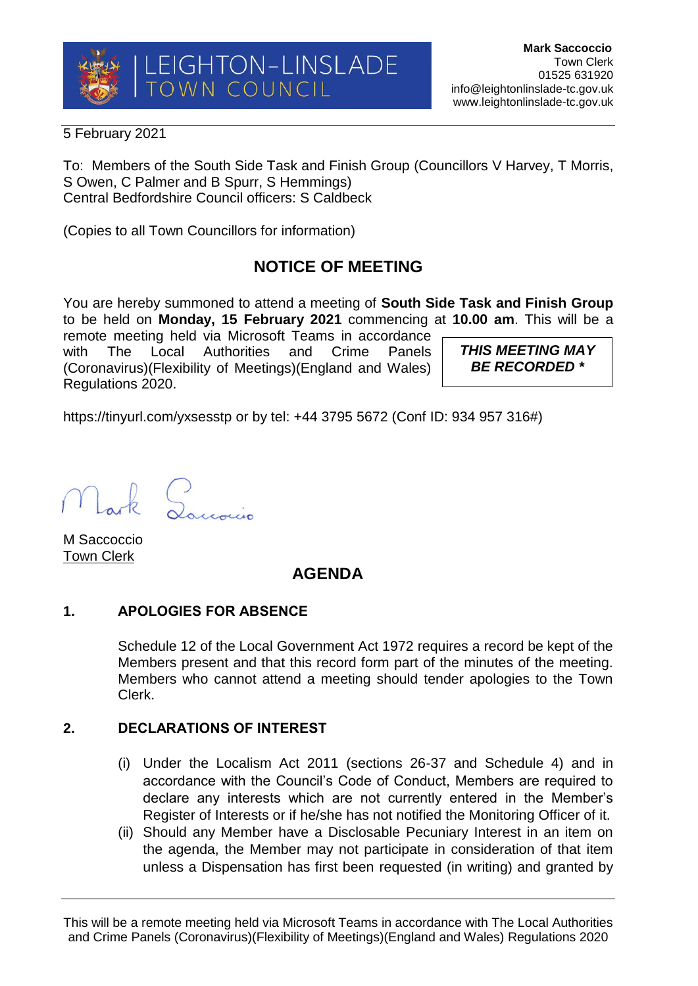

5 February 2021

To: Members of the South Side Task and Finish Group (Councillors V Harvey, T Morris, S Owen, C Palmer and B Spurr, S Hemmings) Central Bedfordshire Council officers: S Caldbeck

(Copies to all Town Councillors for information)

# **NOTICE OF MEETING**

You are hereby summoned to attend a meeting of **South Side Task and Finish Group** to be held on **Monday, 15 February 2021** commencing at **10.00 am**. This will be a

remote meeting held via Microsoft Teams in accordance with The Local Authorities and Crime Panels (Coronavirus)(Flexibility of Meetings)(England and Wales) Regulations 2020.

*THIS MEETING MAY BE RECORDED \**

https://tinyurl.com/yxsesstp or by tel: +44 3795 5672 (Conf ID: 934 957 316#)

Lark Lourning

M Saccoccio Town Clerk

# **AGENDA**

## **1. APOLOGIES FOR ABSENCE**

Schedule 12 of the Local Government Act 1972 requires a record be kept of the Members present and that this record form part of the minutes of the meeting. Members who cannot attend a meeting should tender apologies to the Town Clerk.

## **2. DECLARATIONS OF INTEREST**

- (i) Under the Localism Act 2011 (sections 26-37 and Schedule 4) and in accordance with the Council's Code of Conduct, Members are required to declare any interests which are not currently entered in the Member's Register of Interests or if he/she has not notified the Monitoring Officer of it.
- (ii) Should any Member have a Disclosable Pecuniary Interest in an item on the agenda, the Member may not participate in consideration of that item unless a Dispensation has first been requested (in writing) and granted by

This will be a remote meeting held via Microsoft Teams in accordance with The Local Authorities and Crime Panels (Coronavirus)(Flexibility of Meetings)(England and Wales) Regulations 2020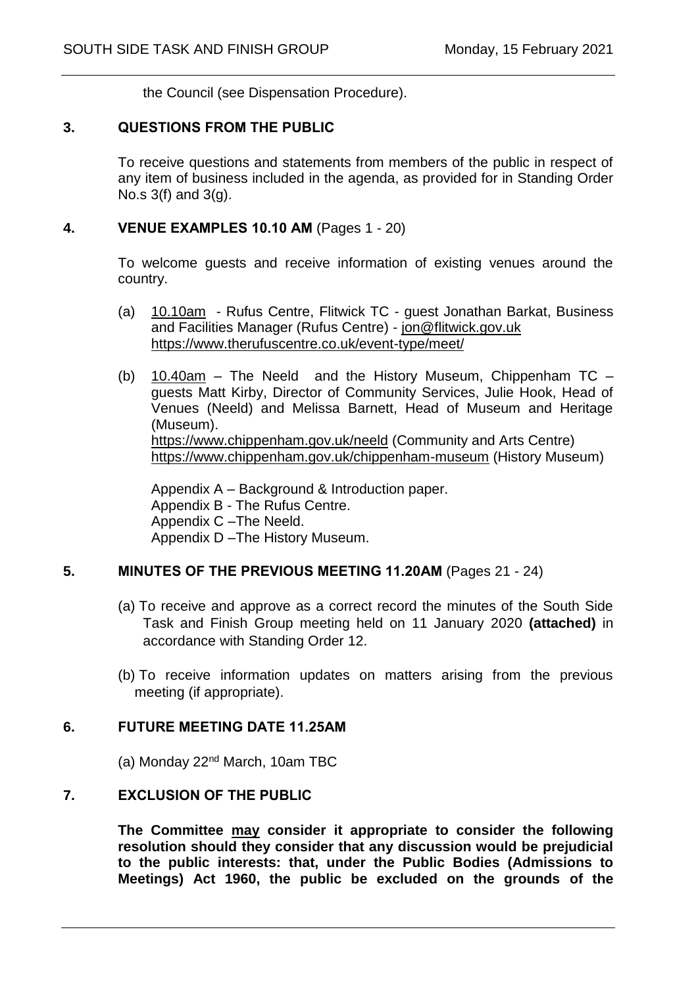the Council (see Dispensation Procedure).

#### **3. QUESTIONS FROM THE PUBLIC**

To receive questions and statements from members of the public in respect of any item of business included in the agenda, as provided for in Standing Order No.s 3(f) and 3(g).

#### **4. VENUE EXAMPLES 10.10 AM** (Pages 1 - 20)

To welcome guests and receive information of existing venues around the country.

- (a) 10.10am Rufus Centre, Flitwick TC guest Jonathan Barkat, Business and Facilities Manager (Rufus Centre) - [jon@flitwick.gov.uk](mailto:jon@flitwick.gov.uk) <https://www.therufuscentre.co.uk/event-type/meet/>
- (b)  $10.40am -$  The Neeld and the History Museum, Chippenham TC guests Matt Kirby, Director of Community Services, Julie Hook, Head of Venues (Neeld) and Melissa Barnett, Head of Museum and Heritage (Museum). <https://www.chippenham.gov.uk/neeld> (Community and Arts Centre) <https://www.chippenham.gov.uk/chippenham-museum> (History Museum)

Appendix A – Background & Introduction paper. Appendix B - The Rufus Centre. Appendix C –The Neeld. Appendix D –The History Museum.

#### **5. MINUTES OF THE PREVIOUS MEETING 11.20AM** (Pages 21 - 24)

- (a) To receive and approve as a correct record the minutes of the South Side Task and Finish Group meeting held on 11 January 2020 **(attached)** in accordance with Standing Order 12.
- (b) To receive information updates on matters arising from the previous meeting (if appropriate).

#### **6. FUTURE MEETING DATE 11.25AM**

(a) Monday 22nd March, 10am TBC

#### **7. EXCLUSION OF THE PUBLIC**

**The Committee may consider it appropriate to consider the following resolution should they consider that any discussion would be prejudicial to the public interests: that, under the Public Bodies (Admissions to Meetings) Act 1960, the public be excluded on the grounds of the**